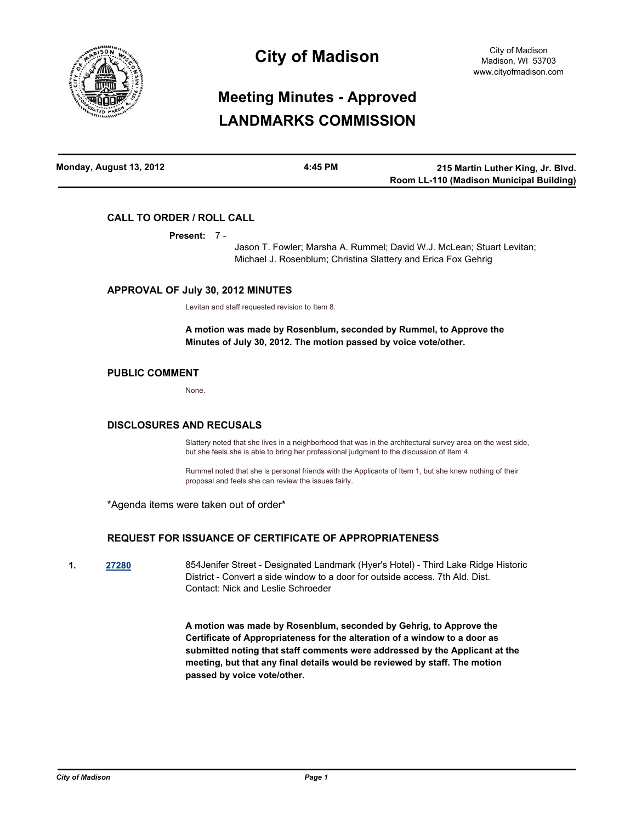

# **City of Madison**

# **Meeting Minutes - Approved LANDMARKS COMMISSION**

| Monday, August 13, 2012 | 4:45 PM | 215 Martin Luther King, Jr. Blvd.        |
|-------------------------|---------|------------------------------------------|
|                         |         | Room LL-110 (Madison Municipal Building) |

### **CALL TO ORDER / ROLL CALL**

**Present:** 7 -

Jason T. Fowler; Marsha A. Rummel; David W.J. McLean; Stuart Levitan; Michael J. Rosenblum; Christina Slattery and Erica Fox Gehrig

#### **APPROVAL OF July 30, 2012 MINUTES**

Levitan and staff requested revision to Item 8.

**A motion was made by Rosenblum, seconded by Rummel, to Approve the Minutes of July 30, 2012. The motion passed by voice vote/other.**

#### **PUBLIC COMMENT**

None.

#### **DISCLOSURES AND RECUSALS**

Slattery noted that she lives in a neighborhood that was in the architectural survey area on the west side, but she feels she is able to bring her professional judgment to the discussion of Item 4.

Rummel noted that she is personal friends with the Applicants of Item 1, but she knew nothing of their proposal and feels she can review the issues fairly.

\*Agenda items were taken out of order\*

### **REQUEST FOR ISSUANCE OF CERTIFICATE OF APPROPRIATENESS**

**1. [27280](http://madison.legistar.com/gateway.aspx?m=l&id=/matter.aspx?key=29960)** 854Jenifer Street - Designated Landmark (Hyer's Hotel) - Third Lake Ridge Historic District - Convert a side window to a door for outside access. 7th Ald. Dist. Contact: Nick and Leslie Schroeder

> **A motion was made by Rosenblum, seconded by Gehrig, to Approve the Certificate of Appropriateness for the alteration of a window to a door as submitted noting that staff comments were addressed by the Applicant at the meeting, but that any final details would be reviewed by staff. The motion passed by voice vote/other.**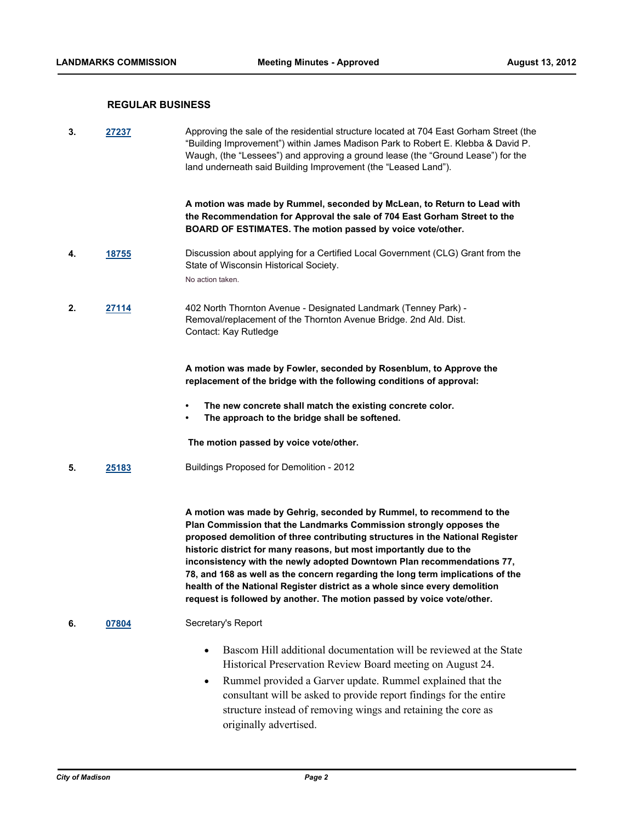#### **REGULAR BUSINESS**

**3. [27237](http://madison.legistar.com/gateway.aspx?m=l&id=/matter.aspx?key=29912)** Approving the sale of the residential structure located at 704 East Gorham Street (the "Building Improvement") within James Madison Park to Robert E. Klebba & David P. Waugh, (the "Lessees") and approving a ground lease (the "Ground Lease") for the land underneath said Building Improvement (the "Leased Land").

> **A motion was made by Rummel, seconded by McLean, to Return to Lead with the Recommendation for Approval the sale of 704 East Gorham Street to the BOARD OF ESTIMATES. The motion passed by voice vote/other.**

**4. [18755](http://madison.legistar.com/gateway.aspx?m=l&id=/matter.aspx?key=20780)** Discussion about applying for a Certified Local Government (CLG) Grant from the State of Wisconsin Historical Society.

No action taken.

**2. [27114](http://madison.legistar.com/gateway.aspx?m=l&id=/matter.aspx?key=29786)** 402 North Thornton Avenue - Designated Landmark (Tenney Park) - Removal/replacement of the Thornton Avenue Bridge. 2nd Ald. Dist. Contact: Kay Rutledge

> **A motion was made by Fowler, seconded by Rosenblum, to Approve the replacement of the bridge with the following conditions of approval:**

- **• The new concrete shall match the existing concrete color.**
- **• The approach to the bridge shall be softened.**

 **The motion passed by voice vote/other.**

**5. [25183](http://madison.legistar.com/gateway.aspx?m=l&id=/matter.aspx?key=27743)** Buildings Proposed for Demolition - 2012

**A motion was made by Gehrig, seconded by Rummel, to recommend to the Plan Commission that the Landmarks Commission strongly opposes the proposed demolition of three contributing structures in the National Register historic district for many reasons, but most importantly due to the inconsistency with the newly adopted Downtown Plan recommendations 77, 78, and 168 as well as the concern regarding the long term implications of the health of the National Register district as a whole since every demolition request is followed by another. The motion passed by voice vote/other.**

- **6. [07804](http://madison.legistar.com/gateway.aspx?m=l&id=/matter.aspx?key=8826)** Secretary's Report
	- Bascom Hill additional documentation will be reviewed at the State Historical Preservation Review Board meeting on August 24.
	- Rummel provided a Garver update. Rummel explained that the consultant will be asked to provide report findings for the entire structure instead of removing wings and retaining the core as originally advertised.